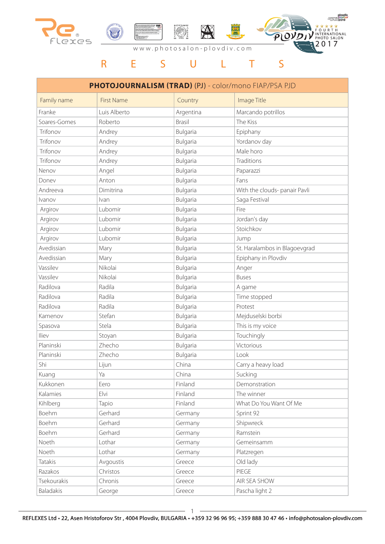

## R E S U L T S

| PHOTOJOURNALISM (TRAD) (PJ) - color/mono FIAP/PSA PJD |                   |               |                               |  |  |  |
|-------------------------------------------------------|-------------------|---------------|-------------------------------|--|--|--|
| Family name                                           | <b>First Name</b> | Country       | Image Title                   |  |  |  |
| Franke                                                | Luis Alberto      | Argentina     | Marcando potrillos            |  |  |  |
| Soares-Gomes                                          | Roberto           | <b>Brasil</b> | The Kiss                      |  |  |  |
| Trifonov                                              | Andrey            | Bulgaria      | Epiphany                      |  |  |  |
| Trifonov                                              | Andrey            | Bulgaria      | Yordanov day                  |  |  |  |
| Trifonov                                              | Andrey            | Bulgaria      | Male horo                     |  |  |  |
| Trifonov                                              | Andrey            | Bulgaria      | Traditions                    |  |  |  |
| Nenov                                                 | Angel             | Bulgaria      | Paparazzi                     |  |  |  |
| Doney                                                 | Anton             | Bulgaria      | Fans                          |  |  |  |
| Andreeva                                              | Dimitrina         | Bulgaria      | With the clouds- panair Pavli |  |  |  |
| <i>vanov</i>                                          | Ivan              | Bulgaria      | Saga Festival                 |  |  |  |
| Argirov                                               | Lubomir           | Bulgaria      | Fire                          |  |  |  |
| Argirov                                               | Lubomir           | Bulgaria      | Jordan's day                  |  |  |  |
| Argirov                                               | Lubomir           | Bulgaria      | Stoichkov                     |  |  |  |
| Argirov                                               | Lubomir           | Bulgaria      | Jump                          |  |  |  |
| Avedissian                                            | Mary              | Bulgaria      | St. Haralambos in Blagoevgrad |  |  |  |
| Avedissian                                            | Mary              | Bulgaria      | Epiphany in Plovdiv           |  |  |  |
| Vassilev                                              | Nikolai           | Bulgaria      | Anger                         |  |  |  |
| Vassilev                                              | Nikolai           | Bulgaria      | <b>Buses</b>                  |  |  |  |
| Radilova                                              | Radila            | Bulgaria      | A game                        |  |  |  |
| Radilova                                              | Radila            | Bulgaria      | Time stopped                  |  |  |  |
| Radilova                                              | Radila            | Bulgaria      | Protest                       |  |  |  |
| Kamenov                                               | Stefan            | Bulgaria      | Mejduselski borbi             |  |  |  |
| Spasova                                               | Stela             | Bulgaria      | This is my voice              |  |  |  |
| Iliev                                                 | Stoyan            | Bulgaria      | Touchingly                    |  |  |  |
| Planinski                                             | Zhecho            | Bulgaria      | Victorious                    |  |  |  |
| Planinski                                             | Zhecho            | Bulgaria      | Look                          |  |  |  |
| Shi                                                   | Lijun             | China         | Carry a heavy load            |  |  |  |
| Kuang                                                 | Ya                | China         | Sucking                       |  |  |  |
| Kukkonen                                              | Eero              | Finland       | Demonstration                 |  |  |  |
| Kalamies                                              | Elvi              | Finland       | The winner                    |  |  |  |
| Kihlberg                                              | Tapio             | Finland       | What Do You Want Of Me        |  |  |  |
| Boehm                                                 | Gerhard           | Germany       | Sprint 92                     |  |  |  |
| Boehm                                                 | Gerhard           | Germany       | Shipwreck                     |  |  |  |
| Boehm                                                 | Gerhard           | Germany       | Ramstein                      |  |  |  |
| Noeth                                                 | Lothar            | Germany       | Gemeinsamm                    |  |  |  |
| Noeth                                                 | Lothar            | Germany       | Platzregen                    |  |  |  |
| Tatakis                                               | Avgoustis         | Greece        | Old lady                      |  |  |  |
| Razakos                                               | Christos          | Greece        | PIEGE                         |  |  |  |
| Tsekourakis                                           | Chronis           | Greece        | AIR SEA SHOW                  |  |  |  |
| Baladakis                                             | George            | Greece        | Pascha light 2                |  |  |  |

1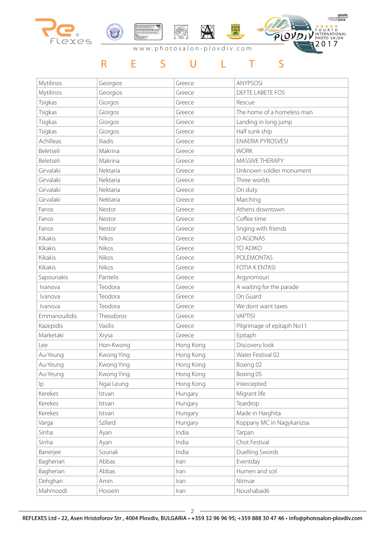

## R E S U L T S

| Mytilinos     | Georgios   | Greece    | <b>ANYPSOSI</b>            |
|---------------|------------|-----------|----------------------------|
| Mytilinos     | Georgios   | Greece    | DEFTE LABETE FOS           |
| Tsigkas       | Giorgos    | Greece    | Rescue                     |
| Tsigkas       | Giorgos    | Greece    | The home of a homeless man |
| Tsigkas       | Giorgos    | Greece    | Landing in long jump       |
| Tsigkas       | Giorgos    | Greece    | Half sunk ship             |
| Achilleas     | Iliadis    | Greece    | <b>ENAERIA PYROSVESI</b>   |
| Beletseli     | Makrina    | Greece    | <b>WORK</b>                |
| Beletseli     | Makrina    | Greece    | MASSIVE THERAPY            |
| Girvalaki     | Nektaria   | Greece    | Unknown soldier monument   |
| Girvalaki     | Nektaria   | Greece    | Three worlds               |
| Girvalaki     | Nektaria   | Greece    | On duty                    |
| Girvalaki     | Nektaria   | Greece    | Marching                   |
| Fanos         | Nestor     | Greece    | Athens downtown            |
| Fanos         | Nestor     | Greece    | Coffee time                |
| Fanos         | Nestor     | Greece    | Snging with friends        |
| Kikakis       | Nikos      | Greece    | O AGONAS                   |
| Kikakis       | Nikos      | Greece    | TO ADIKO                   |
| Kikakis       | Nikos      | Greece    | POLEMONTAS                 |
| Kikakis       | Nikos      | Greece    | <b>FOTIA K ENTASI</b>      |
| Sapounakis    | Pantelis   | Greece    | Argyromouri                |
| Ivanova       | Teodora    | Greece    | A waiting for the parade   |
| Ivanova       | Teodora    | Greece    | On Guard                   |
| Ivanova       | Teodora    | Greece    | We dont want taxes         |
| Emmanouilidis | Theodoros  | Greece    | <b>VAPTISI</b>             |
| Kazepidis     | Vasilis    | Greece    | Pilgrimage of epitaph No11 |
| Marketaki     | Xrysa      | Greece    | Epitaph                    |
| Lee           | Hon-Kwong  | Hong Kong | Discovery look             |
| Au-Yeung      | Kwong Ying | Hong Kong | Water Festival 02          |
| Au-Yeung      | Kwong Ying | Hong Kong | Boxing 02                  |
| Au-Yeung      | Kwong Ying | Hong Kong | Boxing 05                  |
| Ip            | Ngai Leung | Hong Kong | Intercepted                |
| Kerekes       | Istvan     | Hungary   | Migrant life               |
| Kerekes       | Istvan     | Hungary   | Teardrop                   |
| Kerekes       | Istvan     | Hungary   | Made in Harghita           |
| Varga         | Szilard    | Hungary   | Koppany MC in Nagykanizsa  |
| Sinha         | Ayan       | India     | Tarpan                     |
| Sinha         | Ayan       | India     | Chot Festival              |
| Banerjee      | Sounak     | India     | Duelling Swords            |
| Bagherian     | Abbas      | Iran      | Eventday                   |
| Bagherian     | Abbas      | Iran      | Humen and soil             |
| Dehghan       | Amin       | Iran      | Nimvar                     |
| Mahmoodi      | Hossein    | Iran      | Noushabad6                 |